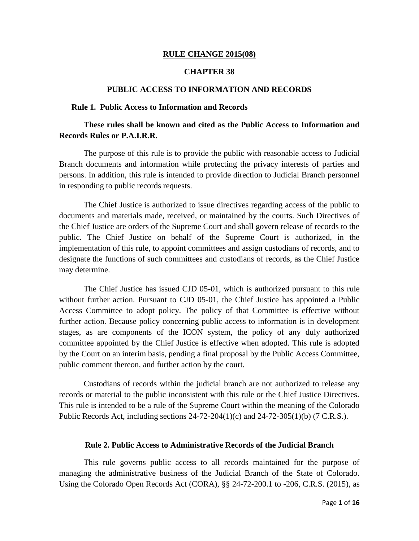#### **RULE CHANGE 2015(08)**

#### **CHAPTER 38**

#### **PUBLIC ACCESS TO INFORMATION AND RECORDS**

#### **Rule 1. Public Access to Information and Records**

# **These rules shall be known and cited as the Public Access to Information and Records Rules or P.A.I.R.R.**

The purpose of this rule is to provide the public with reasonable access to Judicial Branch documents and information while protecting the privacy interests of parties and persons. In addition, this rule is intended to provide direction to Judicial Branch personnel in responding to public records requests.

The Chief Justice is authorized to issue directives regarding access of the public to documents and materials made, received, or maintained by the courts. Such Directives of the Chief Justice are orders of the Supreme Court and shall govern release of records to the public. The Chief Justice on behalf of the Supreme Court is authorized, in the implementation of this rule, to appoint committees and assign custodians of records, and to designate the functions of such committees and custodians of records, as the Chief Justice may determine.

The Chief Justice has issued CJD 05-01, which is authorized pursuant to this rule without further action. Pursuant to CJD 05-01, the Chief Justice has appointed a Public Access Committee to adopt policy. The policy of that Committee is effective without further action. Because policy concerning public access to information is in development stages, as are components of the ICON system, the policy of any duly authorized committee appointed by the Chief Justice is effective when adopted. This rule is adopted by the Court on an interim basis, pending a final proposal by the Public Access Committee, public comment thereon, and further action by the court.

Custodians of records within the judicial branch are not authorized to release any records or material to the public inconsistent with this rule or the Chief Justice Directives. This rule is intended to be a rule of the Supreme Court within the meaning of the Colorado Public Records Act, including sections 24-72-204(1)(c) and 24-72-305(1)(b) (7 C.R.S.).

#### **Rule 2. Public Access to Administrative Records of the Judicial Branch**

This rule governs public access to all records maintained for the purpose of managing the administrative business of the Judicial Branch of the State of Colorado. Using the Colorado Open Records Act (CORA), §§ 24-72-200.1 to -206, C.R.S. (2015), as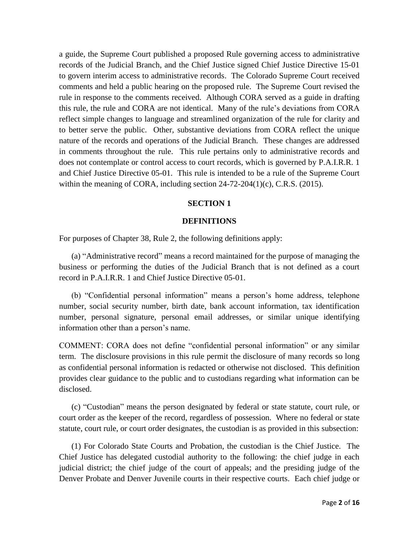a guide, the Supreme Court published a proposed Rule governing access to administrative records of the Judicial Branch, and the Chief Justice signed Chief Justice Directive 15-01 to govern interim access to administrative records. The Colorado Supreme Court received comments and held a public hearing on the proposed rule. The Supreme Court revised the rule in response to the comments received. Although CORA served as a guide in drafting this rule, the rule and CORA are not identical. Many of the rule's deviations from CORA reflect simple changes to language and streamlined organization of the rule for clarity and to better serve the public. Other, substantive deviations from CORA reflect the unique nature of the records and operations of the Judicial Branch. These changes are addressed in comments throughout the rule. This rule pertains only to administrative records and does not contemplate or control access to court records, which is governed by P.A.I.R.R. 1 and Chief Justice Directive 05-01. This rule is intended to be a rule of the Supreme Court within the meaning of CORA, including section  $24-72-204(1)(c)$ , C.R.S. (2015).

## **SECTION 1**

## **DEFINITIONS**

For purposes of Chapter 38, Rule 2, the following definitions apply:

(a) "Administrative record" means a record maintained for the purpose of managing the business or performing the duties of the Judicial Branch that is not defined as a court record in P.A.I.R.R. 1 and Chief Justice Directive 05-01.

(b) "Confidential personal information" means a person's home address, telephone number, social security number, birth date, bank account information, tax identification number, personal signature, personal email addresses, or similar unique identifying information other than a person's name.

COMMENT: CORA does not define "confidential personal information" or any similar term. The disclosure provisions in this rule permit the disclosure of many records so long as confidential personal information is redacted or otherwise not disclosed. This definition provides clear guidance to the public and to custodians regarding what information can be disclosed.

(c) "Custodian" means the person designated by federal or state statute, court rule, or court order as the keeper of the record, regardless of possession. Where no federal or state statute, court rule, or court order designates, the custodian is as provided in this subsection:

(1) For Colorado State Courts and Probation, the custodian is the Chief Justice. The Chief Justice has delegated custodial authority to the following: the chief judge in each judicial district; the chief judge of the court of appeals; and the presiding judge of the Denver Probate and Denver Juvenile courts in their respective courts. Each chief judge or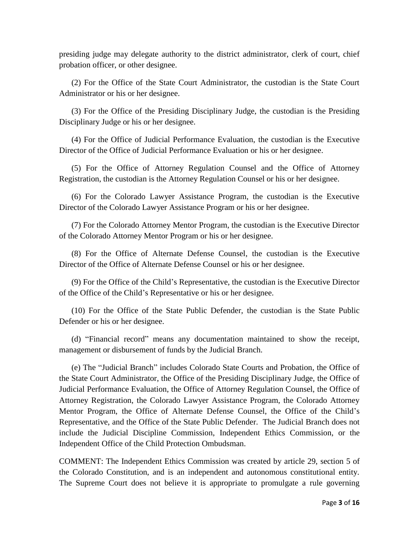presiding judge may delegate authority to the district administrator, clerk of court, chief probation officer, or other designee.

(2) For the Office of the State Court Administrator, the custodian is the State Court Administrator or his or her designee.

(3) For the Office of the Presiding Disciplinary Judge, the custodian is the Presiding Disciplinary Judge or his or her designee.

(4) For the Office of Judicial Performance Evaluation, the custodian is the Executive Director of the Office of Judicial Performance Evaluation or his or her designee.

(5) For the Office of Attorney Regulation Counsel and the Office of Attorney Registration, the custodian is the Attorney Regulation Counsel or his or her designee.

(6) For the Colorado Lawyer Assistance Program, the custodian is the Executive Director of the Colorado Lawyer Assistance Program or his or her designee.

(7) For the Colorado Attorney Mentor Program, the custodian is the Executive Director of the Colorado Attorney Mentor Program or his or her designee.

(8) For the Office of Alternate Defense Counsel, the custodian is the Executive Director of the Office of Alternate Defense Counsel or his or her designee.

(9) For the Office of the Child's Representative, the custodian is the Executive Director of the Office of the Child's Representative or his or her designee.

(10) For the Office of the State Public Defender, the custodian is the State Public Defender or his or her designee.

(d) "Financial record" means any documentation maintained to show the receipt, management or disbursement of funds by the Judicial Branch.

(e) The "Judicial Branch" includes Colorado State Courts and Probation, the Office of the State Court Administrator, the Office of the Presiding Disciplinary Judge, the Office of Judicial Performance Evaluation, the Office of Attorney Regulation Counsel, the Office of Attorney Registration, the Colorado Lawyer Assistance Program, the Colorado Attorney Mentor Program, the Office of Alternate Defense Counsel, the Office of the Child's Representative, and the Office of the State Public Defender. The Judicial Branch does not include the Judicial Discipline Commission, Independent Ethics Commission, or the Independent Office of the Child Protection Ombudsman.

COMMENT: The Independent Ethics Commission was created by article 29, section 5 of the Colorado Constitution, and is an independent and autonomous constitutional entity. The Supreme Court does not believe it is appropriate to promulgate a rule governing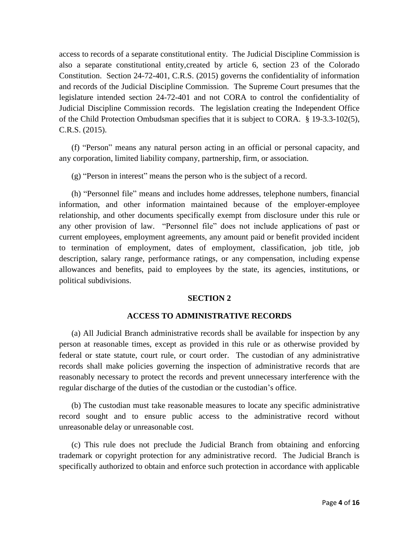access to records of a separate constitutional entity. The Judicial Discipline Commission is also a separate constitutional entity,created by article 6, section 23 of the Colorado Constitution. Section 24-72-401, C.R.S. (2015) governs the confidentiality of information and records of the Judicial Discipline Commission. The Supreme Court presumes that the legislature intended section 24-72-401 and not CORA to control the confidentiality of Judicial Discipline Commission records. The legislation creating the Independent Office of the Child Protection Ombudsman specifies that it is subject to CORA. § 19-3.3-102(5), C.R.S. (2015).

(f) "Person" means any natural person acting in an official or personal capacity, and any corporation, limited liability company, partnership, firm, or association.

(g) "Person in interest" means the person who is the subject of a record.

(h) "Personnel file" means and includes home addresses, telephone numbers, financial information, and other information maintained because of the employer-employee relationship, and other documents specifically exempt from disclosure under this rule or any other provision of law. "Personnel file" does not include applications of past or current employees, employment agreements, any amount paid or benefit provided incident to termination of employment, dates of employment, classification, job title, job description, salary range, performance ratings, or any compensation, including expense allowances and benefits, paid to employees by the state, its agencies, institutions, or political subdivisions.

### **SECTION 2**

## **ACCESS TO ADMINISTRATIVE RECORDS**

(a) All Judicial Branch administrative records shall be available for inspection by any person at reasonable times, except as provided in this rule or as otherwise provided by federal or state statute, court rule, or court order. The custodian of any administrative records shall make policies governing the inspection of administrative records that are reasonably necessary to protect the records and prevent unnecessary interference with the regular discharge of the duties of the custodian or the custodian's office.

(b) The custodian must take reasonable measures to locate any specific administrative record sought and to ensure public access to the administrative record without unreasonable delay or unreasonable cost.

(c) This rule does not preclude the Judicial Branch from obtaining and enforcing trademark or copyright protection for any administrative record. The Judicial Branch is specifically authorized to obtain and enforce such protection in accordance with applicable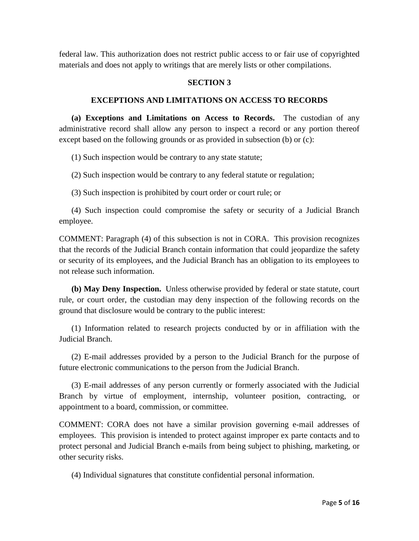federal law. This authorization does not restrict public access to or fair use of copyrighted materials and does not apply to writings that are merely lists or other compilations.

## **SECTION 3**

### **EXCEPTIONS AND LIMITATIONS ON ACCESS TO RECORDS**

**(a) Exceptions and Limitations on Access to Records.** The custodian of any administrative record shall allow any person to inspect a record or any portion thereof except based on the following grounds or as provided in subsection (b) or (c):

(1) Such inspection would be contrary to any state statute;

(2) Such inspection would be contrary to any federal statute or regulation;

(3) Such inspection is prohibited by court order or court rule; or

(4) Such inspection could compromise the safety or security of a Judicial Branch employee.

COMMENT: Paragraph (4) of this subsection is not in CORA. This provision recognizes that the records of the Judicial Branch contain information that could jeopardize the safety or security of its employees, and the Judicial Branch has an obligation to its employees to not release such information.

**(b) May Deny Inspection.** Unless otherwise provided by federal or state statute, court rule, or court order, the custodian may deny inspection of the following records on the ground that disclosure would be contrary to the public interest:

(1) Information related to research projects conducted by or in affiliation with the Judicial Branch.

(2) E-mail addresses provided by a person to the Judicial Branch for the purpose of future electronic communications to the person from the Judicial Branch.

(3) E-mail addresses of any person currently or formerly associated with the Judicial Branch by virtue of employment, internship, volunteer position, contracting, or appointment to a board, commission, or committee.

COMMENT: CORA does not have a similar provision governing e-mail addresses of employees. This provision is intended to protect against improper ex parte contacts and to protect personal and Judicial Branch e-mails from being subject to phishing, marketing, or other security risks.

(4) Individual signatures that constitute confidential personal information.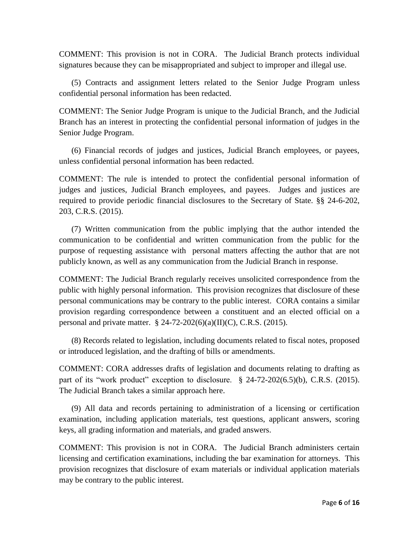COMMENT: This provision is not in CORA. The Judicial Branch protects individual signatures because they can be misappropriated and subject to improper and illegal use.

(5) Contracts and assignment letters related to the Senior Judge Program unless confidential personal information has been redacted.

COMMENT: The Senior Judge Program is unique to the Judicial Branch, and the Judicial Branch has an interest in protecting the confidential personal information of judges in the Senior Judge Program.

(6) Financial records of judges and justices, Judicial Branch employees, or payees, unless confidential personal information has been redacted.

COMMENT: The rule is intended to protect the confidential personal information of judges and justices, Judicial Branch employees, and payees. Judges and justices are required to provide periodic financial disclosures to the Secretary of State. §§ 24-6-202, 203, C.R.S. (2015).

(7) Written communication from the public implying that the author intended the communication to be confidential and written communication from the public for the purpose of requesting assistance with personal matters affecting the author that are not publicly known, as well as any communication from the Judicial Branch in response.

COMMENT: The Judicial Branch regularly receives unsolicited correspondence from the public with highly personal information. This provision recognizes that disclosure of these personal communications may be contrary to the public interest. CORA contains a similar provision regarding correspondence between a constituent and an elected official on a personal and private matter. § 24-72-202(6)(a)(II)(C), C.R.S. (2015).

(8) Records related to legislation, including documents related to fiscal notes, proposed or introduced legislation, and the drafting of bills or amendments.

COMMENT: CORA addresses drafts of legislation and documents relating to drafting as part of its "work product" exception to disclosure. § 24-72-202(6.5)(b), C.R.S. (2015). The Judicial Branch takes a similar approach here.

(9) All data and records pertaining to administration of a licensing or certification examination, including application materials, test questions, applicant answers, scoring keys, all grading information and materials, and graded answers.

COMMENT: This provision is not in CORA. The Judicial Branch administers certain licensing and certification examinations, including the bar examination for attorneys. This provision recognizes that disclosure of exam materials or individual application materials may be contrary to the public interest.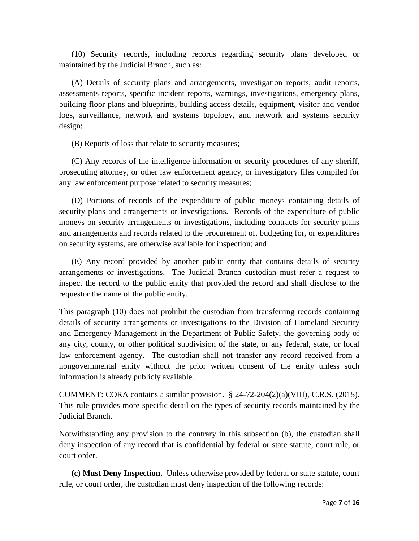(10) Security records, including records regarding security plans developed or maintained by the Judicial Branch, such as:

(A) Details of security plans and arrangements, investigation reports, audit reports, assessments reports, specific incident reports, warnings, investigations, emergency plans, building floor plans and blueprints, building access details, equipment, visitor and vendor logs, surveillance, network and systems topology, and network and systems security design;

(B) Reports of loss that relate to security measures;

(C) Any records of the intelligence information or security procedures of any sheriff, prosecuting attorney, or other law enforcement agency, or investigatory files compiled for any law enforcement purpose related to security measures;

(D) Portions of records of the expenditure of public moneys containing details of security plans and arrangements or investigations. Records of the expenditure of public moneys on security arrangements or investigations, including contracts for security plans and arrangements and records related to the procurement of, budgeting for, or expenditures on security systems, are otherwise available for inspection; and

(E) Any record provided by another public entity that contains details of security arrangements or investigations. The Judicial Branch custodian must refer a request to inspect the record to the public entity that provided the record and shall disclose to the requestor the name of the public entity.

This paragraph (10) does not prohibit the custodian from transferring records containing details of security arrangements or investigations to the Division of Homeland Security and Emergency Management in the Department of Public Safety, the governing body of any city, county, or other political subdivision of the state, or any federal, state, or local law enforcement agency. The custodian shall not transfer any record received from a nongovernmental entity without the prior written consent of the entity unless such information is already publicly available.

COMMENT: CORA contains a similar provision. § 24-72-204(2)(a)(VIII), C.R.S. (2015). This rule provides more specific detail on the types of security records maintained by the Judicial Branch.

Notwithstanding any provision to the contrary in this subsection (b), the custodian shall deny inspection of any record that is confidential by federal or state statute, court rule, or court order.

**(c) Must Deny Inspection.** Unless otherwise provided by federal or state statute, court rule, or court order, the custodian must deny inspection of the following records: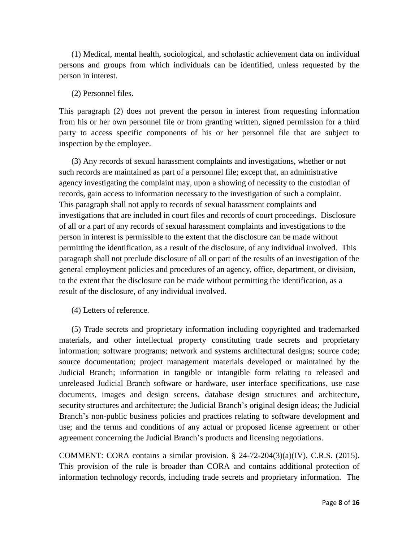(1) Medical, mental health, sociological, and scholastic achievement data on individual persons and groups from which individuals can be identified, unless requested by the person in interest.

#### (2) Personnel files.

This paragraph (2) does not prevent the person in interest from requesting information from his or her own personnel file or from granting written, signed permission for a third party to access specific components of his or her personnel file that are subject to inspection by the employee.

(3) Any records of sexual harassment complaints and investigations, whether or not such records are maintained as part of a personnel file; except that, an administrative agency investigating the complaint may, upon a showing of necessity to the custodian of records, gain access to information necessary to the investigation of such a complaint. This paragraph shall not apply to records of sexual harassment complaints and investigations that are included in court files and records of court proceedings. Disclosure of all or a part of any records of sexual harassment complaints and investigations to the person in interest is permissible to the extent that the disclosure can be made without permitting the identification, as a result of the disclosure, of any individual involved. This paragraph shall not preclude disclosure of all or part of the results of an investigation of the general employment policies and procedures of an agency, office, department, or division, to the extent that the disclosure can be made without permitting the identification, as a result of the disclosure, of any individual involved.

(4) Letters of reference.

(5) Trade secrets and proprietary information including copyrighted and trademarked materials, and other intellectual property constituting trade secrets and proprietary information; software programs; network and systems architectural designs; source code; source documentation; project management materials developed or maintained by the Judicial Branch; information in tangible or intangible form relating to released and unreleased Judicial Branch software or hardware, user interface specifications, use case documents, images and design screens, database design structures and architecture, security structures and architecture; the Judicial Branch's original design ideas; the Judicial Branch's non-public business policies and practices relating to software development and use; and the terms and conditions of any actual or proposed license agreement or other agreement concerning the Judicial Branch's products and licensing negotiations.

COMMENT: CORA contains a similar provision.  $\S$  24-72-204(3)(a)(IV), C.R.S. (2015). This provision of the rule is broader than CORA and contains additional protection of information technology records, including trade secrets and proprietary information. The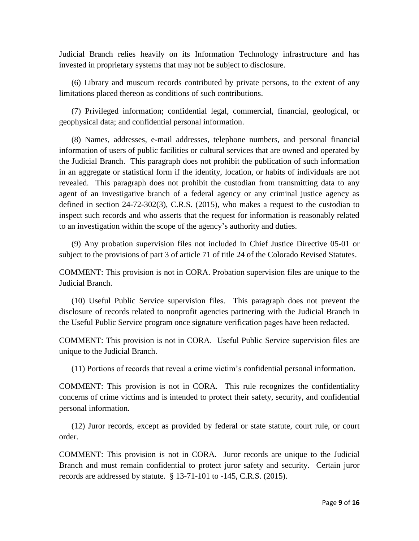Judicial Branch relies heavily on its Information Technology infrastructure and has invested in proprietary systems that may not be subject to disclosure.

(6) Library and museum records contributed by private persons, to the extent of any limitations placed thereon as conditions of such contributions.

(7) Privileged information; confidential legal, commercial, financial, geological, or geophysical data; and confidential personal information.

(8) Names, addresses, e-mail addresses, telephone numbers, and personal financial information of users of public facilities or cultural services that are owned and operated by the Judicial Branch. This paragraph does not prohibit the publication of such information in an aggregate or statistical form if the identity, location, or habits of individuals are not revealed. This paragraph does not prohibit the custodian from transmitting data to any agent of an investigative branch of a federal agency or any criminal justice agency as defined in section 24-72-302(3), C.R.S. (2015), who makes a request to the custodian to inspect such records and who asserts that the request for information is reasonably related to an investigation within the scope of the agency's authority and duties.

(9) Any probation supervision files not included in Chief Justice Directive 05-01 or subject to the provisions of part 3 of article 71 of title 24 of the Colorado Revised Statutes.

COMMENT: This provision is not in CORA. Probation supervision files are unique to the Judicial Branch.

(10) Useful Public Service supervision files. This paragraph does not prevent the disclosure of records related to nonprofit agencies partnering with the Judicial Branch in the Useful Public Service program once signature verification pages have been redacted.

COMMENT: This provision is not in CORA. Useful Public Service supervision files are unique to the Judicial Branch.

(11) Portions of records that reveal a crime victim's confidential personal information.

COMMENT: This provision is not in CORA. This rule recognizes the confidentiality concerns of crime victims and is intended to protect their safety, security, and confidential personal information.

(12) Juror records, except as provided by federal or state statute, court rule, or court order.

COMMENT: This provision is not in CORA. Juror records are unique to the Judicial Branch and must remain confidential to protect juror safety and security. Certain juror records are addressed by statute. § 13-71-101 to -145, C.R.S. (2015).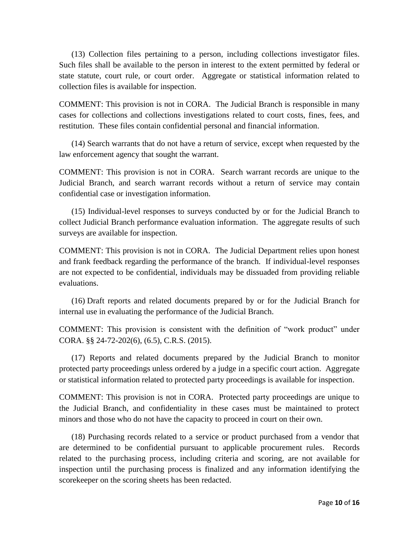(13) Collection files pertaining to a person, including collections investigator files. Such files shall be available to the person in interest to the extent permitted by federal or state statute, court rule, or court order. Aggregate or statistical information related to collection files is available for inspection.

COMMENT: This provision is not in CORA. The Judicial Branch is responsible in many cases for collections and collections investigations related to court costs, fines, fees, and restitution. These files contain confidential personal and financial information.

(14) Search warrants that do not have a return of service, except when requested by the law enforcement agency that sought the warrant.

COMMENT: This provision is not in CORA. Search warrant records are unique to the Judicial Branch, and search warrant records without a return of service may contain confidential case or investigation information.

(15) Individual-level responses to surveys conducted by or for the Judicial Branch to collect Judicial Branch performance evaluation information. The aggregate results of such surveys are available for inspection.

COMMENT: This provision is not in CORA. The Judicial Department relies upon honest and frank feedback regarding the performance of the branch. If individual-level responses are not expected to be confidential, individuals may be dissuaded from providing reliable evaluations.

(16) Draft reports and related documents prepared by or for the Judicial Branch for internal use in evaluating the performance of the Judicial Branch.

COMMENT: This provision is consistent with the definition of "work product" under CORA. §§ 24-72-202(6), (6.5), C.R.S. (2015).

(17) Reports and related documents prepared by the Judicial Branch to monitor protected party proceedings unless ordered by a judge in a specific court action. Aggregate or statistical information related to protected party proceedings is available for inspection.

COMMENT: This provision is not in CORA. Protected party proceedings are unique to the Judicial Branch, and confidentiality in these cases must be maintained to protect minors and those who do not have the capacity to proceed in court on their own.

(18) Purchasing records related to a service or product purchased from a vendor that are determined to be confidential pursuant to applicable procurement rules. Records related to the purchasing process, including criteria and scoring, are not available for inspection until the purchasing process is finalized and any information identifying the scorekeeper on the scoring sheets has been redacted.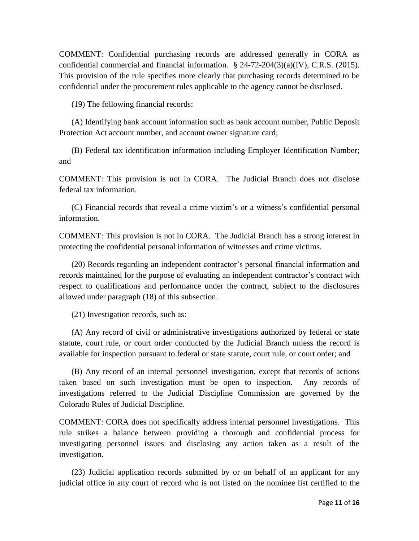COMMENT: Confidential purchasing records are addressed generally in CORA as confidential commercial and financial information. § 24-72-204(3)(a)(IV), C.R.S. (2015). This provision of the rule specifies more clearly that purchasing records determined to be confidential under the procurement rules applicable to the agency cannot be disclosed.

(19) The following financial records:

(A) Identifying bank account information such as bank account number, Public Deposit Protection Act account number, and account owner signature card;

(B) Federal tax identification information including Employer Identification Number; and

COMMENT: This provision is not in CORA. The Judicial Branch does not disclose federal tax information.

(C) Financial records that reveal a crime victim's or a witness's confidential personal information.

COMMENT: This provision is not in CORA. The Judicial Branch has a strong interest in protecting the confidential personal information of witnesses and crime victims.

(20) Records regarding an independent contractor's personal financial information and records maintained for the purpose of evaluating an independent contractor's contract with respect to qualifications and performance under the contract, subject to the disclosures allowed under paragraph (18) of this subsection.

(21) Investigation records, such as:

(A) Any record of civil or administrative investigations authorized by federal or state statute, court rule, or court order conducted by the Judicial Branch unless the record is available for inspection pursuant to federal or state statute, court rule, or court order; and

(B) Any record of an internal personnel investigation, except that records of actions taken based on such investigation must be open to inspection. Any records of investigations referred to the Judicial Discipline Commission are governed by the Colorado Rules of Judicial Discipline.

COMMENT: CORA does not specifically address internal personnel investigations. This rule strikes a balance between providing a thorough and confidential process for investigating personnel issues and disclosing any action taken as a result of the investigation.

(23) Judicial application records submitted by or on behalf of an applicant for any judicial office in any court of record who is not listed on the nominee list certified to the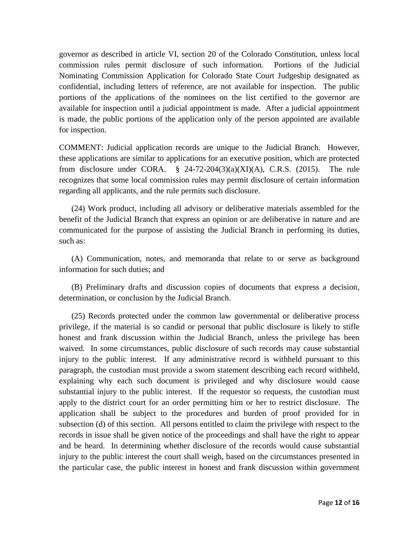governor as described in article VI, section 20 of the Colorado Constitution, unless local commission rules permit disclosure of such information. Portions of the Judicial Nominating Commission Application for Colorado State Court Judgeship designated as confidential, including letters of reference, are not available for inspection. The public portions of the applications of the nominees on the list certified to the governor are available for inspection until a judicial appointment is made. After a judicial appointment is made, the public portions of the application only of the person appointed are available for inspection.

COMMENT: Judicial application records are unique to the Judicial Branch. However, these applications are similar to applications for an executive position, which are protected from disclosure under CORA.  $\S$  24-72-204(3)(a)(XI)(A), C.R.S. (2015). The rule recognizes that some local commission rules may permit disclosure of certain information regarding all applicants, and the rule permits such disclosure.

(24) Work product, including all advisory or deliberative materials assembled for the benefit of the Judicial Branch that express an opinion or are deliberative in nature and are communicated for the purpose of assisting the Judicial Branch in performing its duties, such as:

(A) Communication, notes, and memoranda that relate to or serve as background information for such duties; and

(B) Preliminary drafts and discussion copies of documents that express a decision, determination, or conclusion by the Judicial Branch.

(25) Records protected under the common law governmental or deliberative process privilege, if the material is so candid or personal that public disclosure is likely to stifle honest and frank discussion within the Judicial Branch, unless the privilege has been waived. In some circumstances, public disclosure of such records may cause substantial injury to the public interest. If any administrative record is withheld pursuant to this paragraph, the custodian must provide a sworn statement describing each record withheld, explaining why each such document is privileged and why disclosure would cause substantial injury to the public interest. If the requestor so requests, the custodian must apply to the district court for an order permitting him or her to restrict disclosure. The application shall be subject to the procedures and burden of proof provided for in subsection (d) of this section. All persons entitled to claim the privilege with respect to the records in issue shall be given notice of the proceedings and shall have the right to appear and be heard. In determining whether disclosure of the records would cause substantial injury to the public interest the court shall weigh, based on the circumstances presented in the particular case, the public interest in honest and frank discussion within government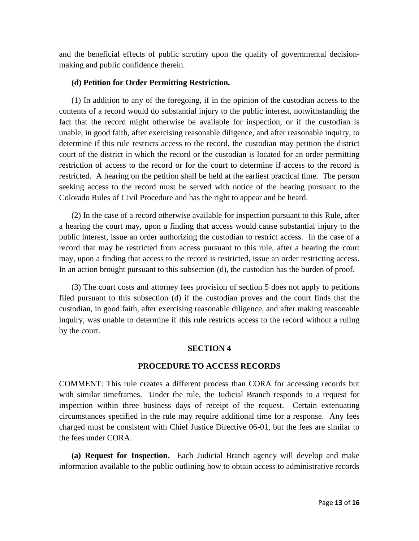and the beneficial effects of public scrutiny upon the quality of governmental decisionmaking and public confidence therein.

### **(d) Petition for Order Permitting Restriction.**

(1) In addition to any of the foregoing, if in the opinion of the custodian access to the contents of a record would do substantial injury to the public interest, notwithstanding the fact that the record might otherwise be available for inspection, or if the custodian is unable, in good faith, after exercising reasonable diligence, and after reasonable inquiry, to determine if this rule restricts access to the record, the custodian may petition the district court of the district in which the record or the custodian is located for an order permitting restriction of access to the record or for the court to determine if access to the record is restricted. A hearing on the petition shall be held at the earliest practical time. The person seeking access to the record must be served with notice of the hearing pursuant to the Colorado Rules of Civil Procedure and has the right to appear and be heard.

(2) In the case of a record otherwise available for inspection pursuant to this Rule, after a hearing the court may, upon a finding that access would cause substantial injury to the public interest, issue an order authorizing the custodian to restrict access. In the case of a record that may be restricted from access pursuant to this rule, after a hearing the court may, upon a finding that access to the record is restricted, issue an order restricting access. In an action brought pursuant to this subsection (d), the custodian has the burden of proof.

(3) The court costs and attorney fees provision of section 5 does not apply to petitions filed pursuant to this subsection (d) if the custodian proves and the court finds that the custodian, in good faith, after exercising reasonable diligence, and after making reasonable inquiry, was unable to determine if this rule restricts access to the record without a ruling by the court.

## **SECTION 4**

## **PROCEDURE TO ACCESS RECORDS**

COMMENT: This rule creates a different process than CORA for accessing records but with similar timeframes. Under the rule, the Judicial Branch responds to a request for inspection within three business days of receipt of the request. Certain extenuating circumstances specified in the rule may require additional time for a response. Any fees charged must be consistent with Chief Justice Directive 06-01, but the fees are similar to the fees under CORA.

**(a) Request for Inspection.** Each Judicial Branch agency will develop and make information available to the public outlining how to obtain access to administrative records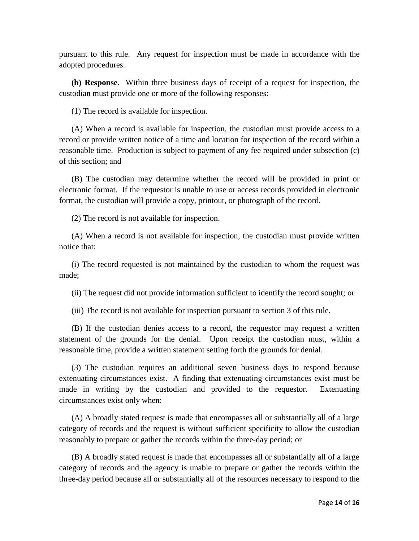pursuant to this rule. Any request for inspection must be made in accordance with the adopted procedures.

**(b) Response.** Within three business days of receipt of a request for inspection, the custodian must provide one or more of the following responses:

(1) The record is available for inspection.

(A) When a record is available for inspection, the custodian must provide access to a record or provide written notice of a time and location for inspection of the record within a reasonable time. Production is subject to payment of any fee required under subsection (c) of this section; and

(B) The custodian may determine whether the record will be provided in print or electronic format. If the requestor is unable to use or access records provided in electronic format, the custodian will provide a copy, printout, or photograph of the record.

(2) The record is not available for inspection.

(A) When a record is not available for inspection, the custodian must provide written notice that:

(i) The record requested is not maintained by the custodian to whom the request was made;

(ii) The request did not provide information sufficient to identify the record sought; or

(iii) The record is not available for inspection pursuant to section 3 of this rule.

(B) If the custodian denies access to a record, the requestor may request a written statement of the grounds for the denial. Upon receipt the custodian must, within a reasonable time, provide a written statement setting forth the grounds for denial.

(3) The custodian requires an additional seven business days to respond because extenuating circumstances exist. A finding that extenuating circumstances exist must be made in writing by the custodian and provided to the requestor. Extenuating circumstances exist only when:

(A) A broadly stated request is made that encompasses all or substantially all of a large category of records and the request is without sufficient specificity to allow the custodian reasonably to prepare or gather the records within the three-day period; or

(B) A broadly stated request is made that encompasses all or substantially all of a large category of records and the agency is unable to prepare or gather the records within the three-day period because all or substantially all of the resources necessary to respond to the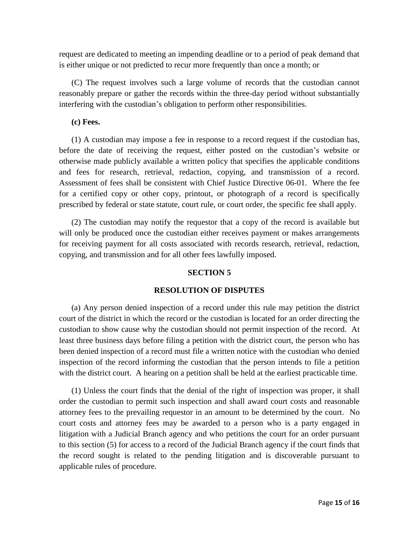request are dedicated to meeting an impending deadline or to a period of peak demand that is either unique or not predicted to recur more frequently than once a month; or

(C) The request involves such a large volume of records that the custodian cannot reasonably prepare or gather the records within the three-day period without substantially interfering with the custodian's obligation to perform other responsibilities.

### **(c) Fees.**

(1) A custodian may impose a fee in response to a record request if the custodian has, before the date of receiving the request, either posted on the custodian's website or otherwise made publicly available a written policy that specifies the applicable conditions and fees for research, retrieval, redaction, copying, and transmission of a record. Assessment of fees shall be consistent with Chief Justice Directive 06-01. Where the fee for a certified copy or other copy, printout, or photograph of a record is specifically prescribed by federal or state statute, court rule, or court order, the specific fee shall apply.

(2) The custodian may notify the requestor that a copy of the record is available but will only be produced once the custodian either receives payment or makes arrangements for receiving payment for all costs associated with records research, retrieval, redaction, copying, and transmission and for all other fees lawfully imposed.

## **SECTION 5**

## **RESOLUTION OF DISPUTES**

(a) Any person denied inspection of a record under this rule may petition the district court of the district in which the record or the custodian is located for an order directing the custodian to show cause why the custodian should not permit inspection of the record. At least three business days before filing a petition with the district court, the person who has been denied inspection of a record must file a written notice with the custodian who denied inspection of the record informing the custodian that the person intends to file a petition with the district court. A hearing on a petition shall be held at the earliest practicable time.

(1) Unless the court finds that the denial of the right of inspection was proper, it shall order the custodian to permit such inspection and shall award court costs and reasonable attorney fees to the prevailing requestor in an amount to be determined by the court. No court costs and attorney fees may be awarded to a person who is a party engaged in litigation with a Judicial Branch agency and who petitions the court for an order pursuant to this section (5) for access to a record of the Judicial Branch agency if the court finds that the record sought is related to the pending litigation and is discoverable pursuant to applicable rules of procedure.